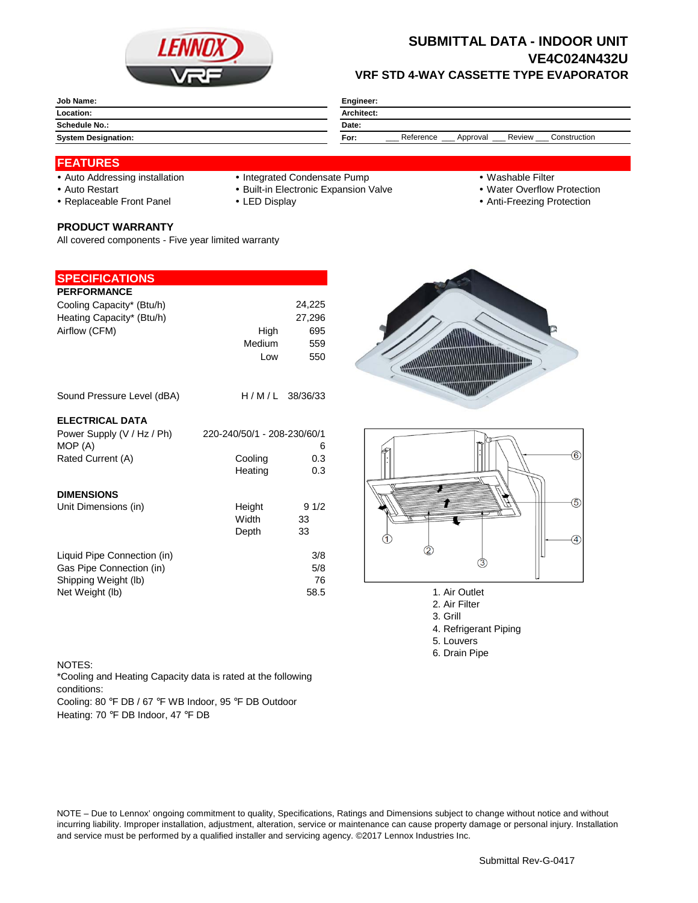

## **SUBMITTAL DATA - INDOOR UNIT VE4C024N432U VRF STD 4-WAY CASSETTE TYPE EVAPORATOR**

| <b>Job Name:</b>           | Engineer:                                               |  |  |
|----------------------------|---------------------------------------------------------|--|--|
| Location:                  | <b>Architect:</b>                                       |  |  |
| Schedule No.:              | Date:                                                   |  |  |
| <b>System Designation:</b> | Review<br>Reference<br>Construction<br>For:<br>Approval |  |  |

#### **FEATURES**

- 
- Auto Addressing installation Integrated Condensate Pump Washable Filter
- Auto Restart **Built-in Electronic Expansion Valve Water Overflow Protection** Nuter Overflow Protection
- Replaceable Front Panel LED Display Anti-Freezing Protection

#### **PRODUCT WARRANTY**

All covered components - Five year limited warranty

## **SPECIFICATIONS**

| <b>PERFORMANCE</b>                                                                                 |                             |                          |
|----------------------------------------------------------------------------------------------------|-----------------------------|--------------------------|
| Cooling Capacity* (Btu/h)                                                                          |                             | 24,225                   |
| Heating Capacity* (Btu/h)                                                                          |                             | 27,296                   |
| Airflow (CFM)                                                                                      | High                        | 695                      |
|                                                                                                    | Medium                      | 559                      |
|                                                                                                    | Low                         | 550                      |
| Sound Pressure Level (dBA)                                                                         |                             | $H/M/L$ 38/36/33         |
| <b>ELECTRICAL DATA</b>                                                                             |                             |                          |
| Power Supply (V / Hz / Ph)                                                                         | 220-240/50/1 - 208-230/60/1 |                          |
| MOP (A)                                                                                            |                             | 6                        |
| Rated Current (A)                                                                                  | Cooling                     | 0.3                      |
|                                                                                                    | Heating                     | 0.3                      |
| <b>DIMENSIONS</b>                                                                                  |                             |                          |
| Unit Dimensions (in)                                                                               | Height                      | 91/2                     |
|                                                                                                    | Width                       | 33                       |
|                                                                                                    | Depth                       | 33                       |
| Liquid Pipe Connection (in)<br>Gas Pipe Connection (in)<br>Shipping Weight (lb)<br>Net Weight (lb) |                             | 3/8<br>5/8<br>76<br>58.5 |





- 1. Air Outlet
- 2. Air Filter
- 3. Grill
- 4. Refrigerant Piping
- 5. Louvers
- 6. Drain Pipe

#### NOTES:

\*Cooling and Heating Capacity data is rated at the following conditions:

Cooling: 80 °F DB / 67 °F WB Indoor, 95 °F DB Outdoor Heating: 70 °F DB Indoor, 47 °F DB

NOTE – Due to Lennox' ongoing commitment to quality, Specifications, Ratings and Dimensions subject to change without notice and without incurring liability. Improper installation, adjustment, alteration, service or maintenance can cause property damage or personal injury. Installation and service must be performed by a qualified installer and servicing agency. ©2017 Lennox Industries Inc.